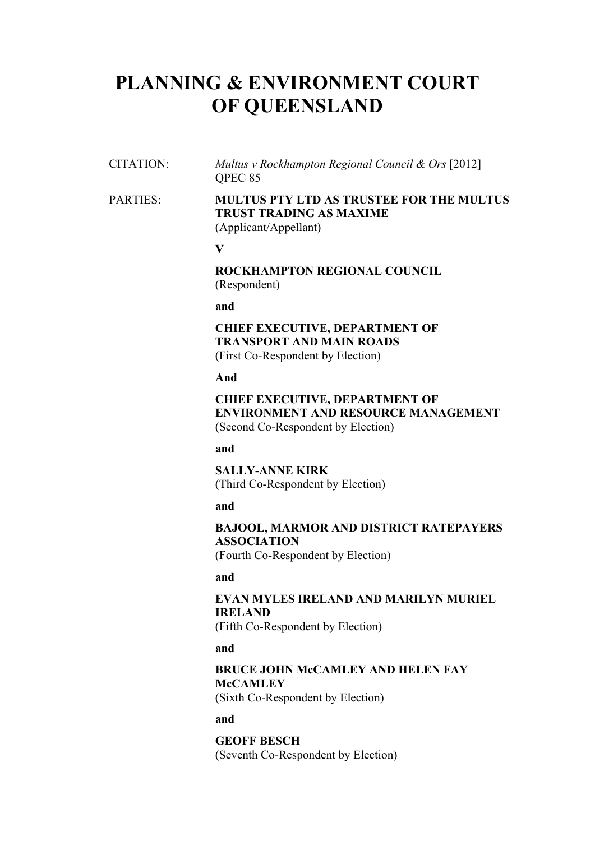# **PLANNING & ENVIRONMENT COURT OF QUEENSLAND**

CITATION: *Multus v Rockhampton Regional Council & Ors* [2012] QPEC 85

## PARTIES: **MULTUS PTY LTD AS TRUSTEE FOR THE MULTUS TRUST TRADING AS MAXIME** (Applicant/Appellant)

**V**

**ROCKHAMPTON REGIONAL COUNCIL** (Respondent)

**and**

### **CHIEF EXECUTIVE, DEPARTMENT OF TRANSPORT AND MAIN ROADS** (First Co-Respondent by Election)

**And**

## **CHIEF EXECUTIVE, DEPARTMENT OF ENVIRONMENT AND RESOURCE MANAGEMENT** (Second Co-Respondent by Election)

**and**

**SALLY-ANNE KIRK** (Third Co-Respondent by Election)

**and**

## **BAJOOL, MARMOR AND DISTRICT RATEPAYERS ASSOCIATION**

(Fourth Co-Respondent by Election)

**and**

## **EVAN MYLES IRELAND AND MARILYN MURIEL IRELAND**

(Fifth Co-Respondent by Election)

**and**

## **BRUCE JOHN McCAMLEY AND HELEN FAY McCAMLEY**

(Sixth Co-Respondent by Election)

**and**

**GEOFF BESCH** (Seventh Co-Respondent by Election)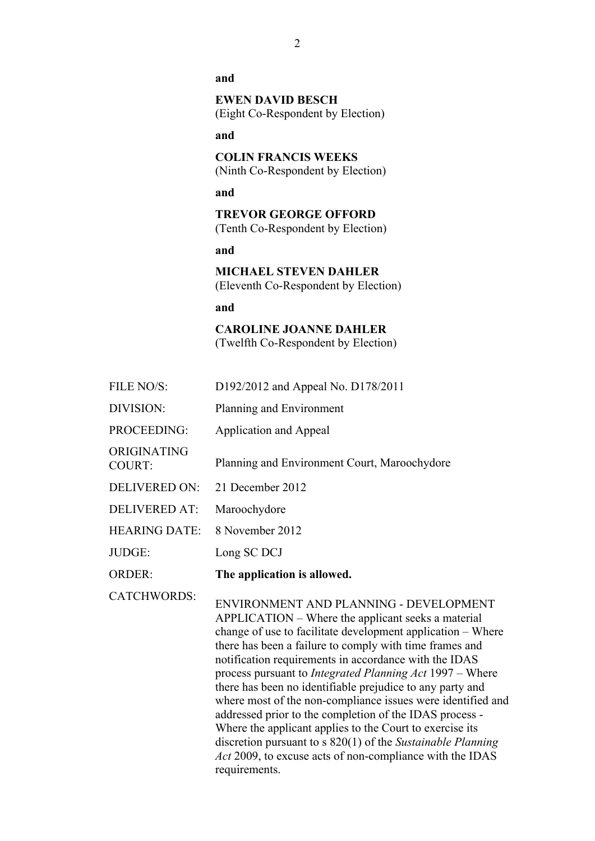**and**

**EWEN DAVID BESCH** (Eight Co-Respondent by Election)

**and**

**COLIN FRANCIS WEEKS** (Ninth Co-Respondent by Election)

**and**

**TREVOR GEORGE OFFORD** (Tenth Co-Respondent by Election)

**and**

**MICHAEL STEVEN DAHLER** (Eleventh Co-Respondent by Election)

**and**

**CAROLINE JOANNE DAHLER** (Twelfth Co-Respondent by Election)

- FILE NO/S: D192/2012 and Appeal No. D178/2011
- DIVISION: Planning and Environment
- PROCEEDING: Application and Appeal

COURT: Planning and Environment Court, Maroochydore

- DELIVERED ON: 21 December 2012
- DELIVERED AT: Maroochydore

ORIGINATING

- HEARING DATE: 8 November 2012
- JUDGE: Long SC DCJ
- ORDER: **The application is allowed.**

CATCHWORDS: ENVIRONMENT AND PLANNING - DEVELOPMENT APPLICATION – Where the applicant seeks a material change of use to facilitate development application – Where there has been a failure to comply with time frames and notification requirements in accordance with the IDAS process pursuant to *Integrated Planning Act* 1997 – Where there has been no identifiable prejudice to any party and where most of the non-compliance issues were identified and addressed prior to the completion of the IDAS process - Where the applicant applies to the Court to exercise its discretion pursuant to s 820(1) of the *Sustainable Planning Act* 2009, to excuse acts of non-compliance with the IDAS requirements.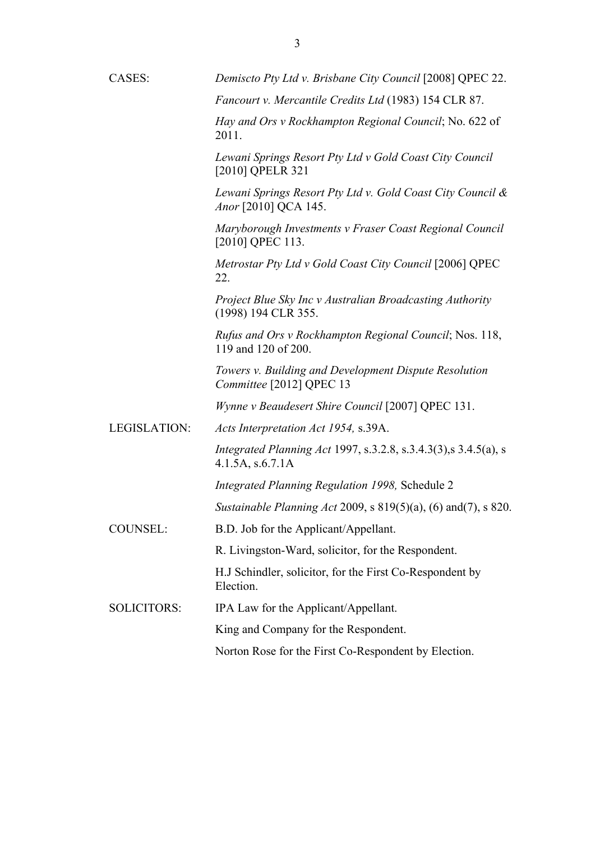| CASES:             | Demiscto Pty Ltd v. Brisbane City Council [2008] QPEC 22.                                  |
|--------------------|--------------------------------------------------------------------------------------------|
|                    | Fancourt v. Mercantile Credits Ltd (1983) 154 CLR 87.                                      |
|                    | Hay and Ors v Rockhampton Regional Council; No. 622 of<br>2011.                            |
|                    | Lewani Springs Resort Pty Ltd v Gold Coast City Council<br>[2010] QPELR 321                |
|                    | Lewani Springs Resort Pty Ltd v. Gold Coast City Council &<br>Anor [2010] QCA 145.         |
|                    | Maryborough Investments v Fraser Coast Regional Council<br>[2010] QPEC 113.                |
|                    | Metrostar Pty Ltd v Gold Coast City Council [2006] QPEC<br>22.                             |
|                    | Project Blue Sky Inc v Australian Broadcasting Authority<br>(1998) 194 CLR 355.            |
|                    | Rufus and Ors v Rockhampton Regional Council; Nos. 118,<br>119 and 120 of 200.             |
|                    | Towers v. Building and Development Dispute Resolution<br>Committee [2012] QPEC 13          |
|                    | Wynne v Beaudesert Shire Council [2007] QPEC 131.                                          |
| LEGISLATION:       | Acts Interpretation Act 1954, s.39A.                                                       |
|                    | <i>Integrated Planning Act 1997, s.3.2.8, s.3.4.3(3),s 3.4.5(a), s</i><br>4.1.5A, s.6.7.1A |
|                    | Integrated Planning Regulation 1998, Schedule 2                                            |
|                    | Sustainable Planning Act 2009, s $819(5)(a)$ , (6) and(7), s $820$ .                       |
| COUNSEL:           | B.D. Job for the Applicant/Appellant.                                                      |
|                    | R. Livingston-Ward, solicitor, for the Respondent.                                         |
|                    | H.J Schindler, solicitor, for the First Co-Respondent by<br>Election.                      |
| <b>SOLICITORS:</b> | IPA Law for the Applicant/Appellant.                                                       |
|                    | King and Company for the Respondent.                                                       |
|                    | Norton Rose for the First Co-Respondent by Election.                                       |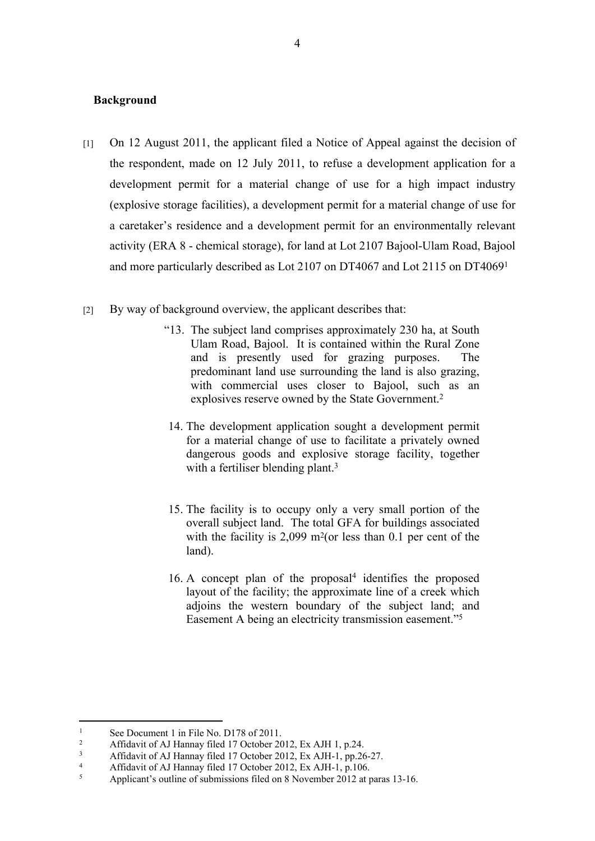#### **Background**

- [1] On 12 August 2011, the applicant filed a Notice of Appeal against the decision of the respondent, made on 12 July 2011, to refuse a development application for a development permit for a material change of use for a high impact industry (explosive storage facilities), a development permit for a material change of use for a caretaker's residence and a development permit for an environmentally relevant activity (ERA 8 - chemical storage), for land at Lot 2107 Bajool-Ulam Road, Bajool and more particularly described as Lot 2107 on DT4067 and Lot 2115 on DT4069<sup>1</sup>
- [2] By way of background overview, the applicant describes that:
	- "13. The subject land comprises approximately 230 ha, at South Ulam Road, Bajool. It is contained within the Rural Zone and is presently used for grazing purposes. The predominant land use surrounding the land is also grazing, with commercial uses closer to Bajool, such as an explosives reserve owned by the State Government.<sup>2</sup>
	- 14. The development application sought a development permit for a material change of use to facilitate a privately owned dangerous goods and explosive storage facility, together with a fertiliser blending plant.<sup>3</sup>
	- 15. The facility is to occupy only a very small portion of the overall subject land. The total GFA for buildings associated with the facility is  $2,099$  m<sup>2</sup>(or less than 0.1 per cent of the land).
	- $16. A$  concept plan of the proposal<sup>4</sup> identifies the proposed layout of the facility; the approximate line of a creek which adjoins the western boundary of the subject land; and Easement A being an electricity transmission easement."<sup>5</sup>

<sup>1</sup> See Document 1 in File No. D178 of 2011.

<sup>2</sup> Affidavit of AJ Hannay filed 17 October 2012, Ex AJH 1, p.24.

<sup>3</sup> Affidavit of AJ Hannay filed 17 October 2012, Ex AJH-1, pp.26-27.

<sup>4</sup> Affidavit of AJ Hannay filed 17 October 2012, Ex AJH-1, p.106.

<sup>5</sup> Applicant's outline of submissions filed on 8 November 2012 at paras 13-16.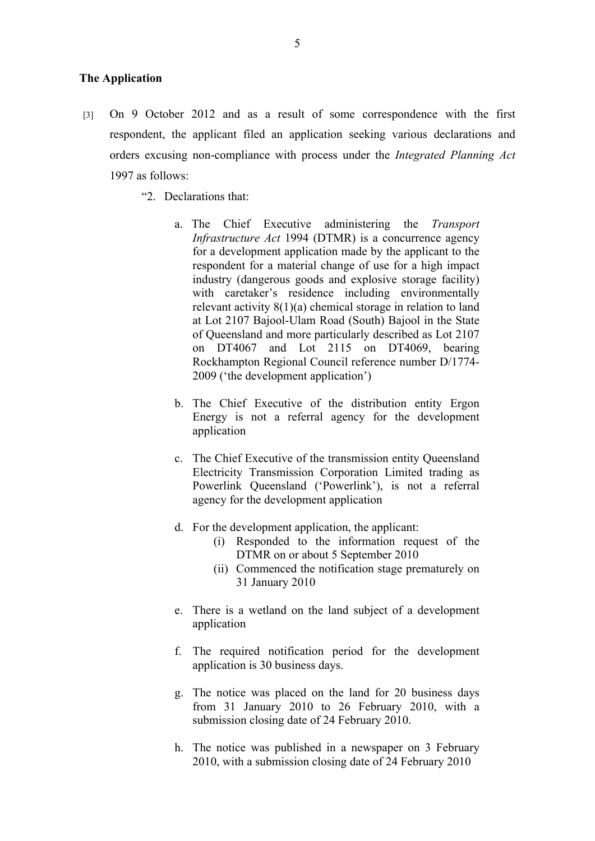#### **The Application**

- [3] On 9 October 2012 and as a result of some correspondence with the first respondent, the applicant filed an application seeking various declarations and orders excusing non-compliance with process under the *Integrated Planning Act* 1997 as follows:
	- "2. Declarations that:
		- a. The Chief Executive administering the *Transport Infrastructure Act* 1994 (DTMR) is a concurrence agency for a development application made by the applicant to the respondent for a material change of use for a high impact industry (dangerous goods and explosive storage facility) with caretaker's residence including environmentally relevant activity 8(1)(a) chemical storage in relation to land at Lot 2107 Bajool-Ulam Road (South) Bajool in the State of Queensland and more particularly described as Lot 2107 on DT4067 and Lot 2115 on DT4069, bearing Rockhampton Regional Council reference number D/1774- 2009 ('the development application')
		- b. The Chief Executive of the distribution entity Ergon Energy is not a referral agency for the development application
		- c. The Chief Executive of the transmission entity Queensland Electricity Transmission Corporation Limited trading as Powerlink Queensland ('Powerlink'), is not a referral agency for the development application
		- d. For the development application, the applicant:
			- (i) Responded to the information request of the DTMR on or about 5 September 2010
			- (ii) Commenced the notification stage prematurely on 31 January 2010
		- e. There is a wetland on the land subject of a development application
		- f. The required notification period for the development application is 30 business days.
		- g. The notice was placed on the land for 20 business days from 31 January 2010 to 26 February 2010, with a submission closing date of 24 February 2010.
		- h. The notice was published in a newspaper on 3 February 2010, with a submission closing date of 24 February 2010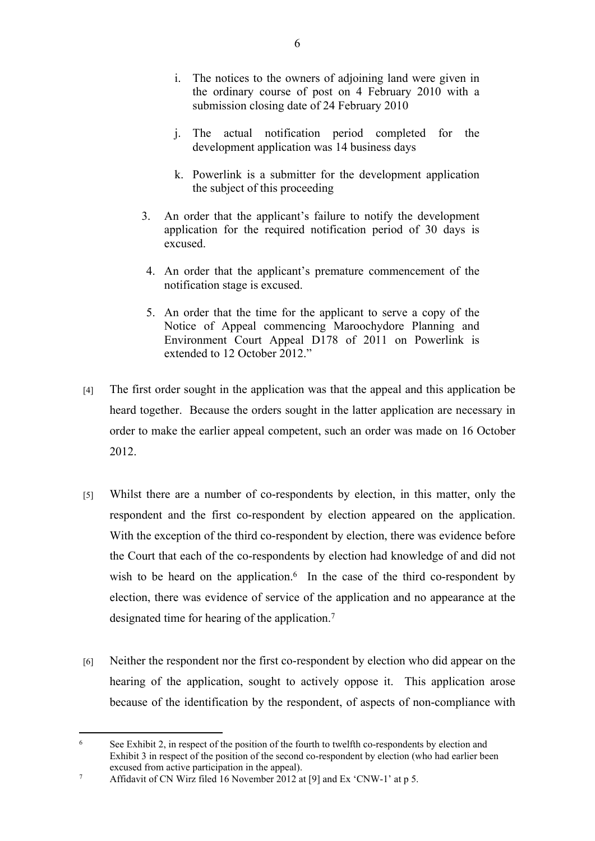- i. The notices to the owners of adjoining land were given in the ordinary course of post on 4 February 2010 with a submission closing date of 24 February 2010
- j. The actual notification period completed for the development application was 14 business days
- k. Powerlink is a submitter for the development application the subject of this proceeding
- 3. An order that the applicant's failure to notify the development application for the required notification period of 30 days is excused.
- 4. An order that the applicant's premature commencement of the notification stage is excused.
- 5. An order that the time for the applicant to serve a copy of the Notice of Appeal commencing Maroochydore Planning and Environment Court Appeal D178 of 2011 on Powerlink is extended to 12 October 2012."
- [4] The first order sought in the application was that the appeal and this application be heard together. Because the orders sought in the latter application are necessary in order to make the earlier appeal competent, such an order was made on 16 October 2012.
- [5] Whilst there are a number of co-respondents by election, in this matter, only the respondent and the first co-respondent by election appeared on the application. With the exception of the third co-respondent by election, there was evidence before the Court that each of the co-respondents by election had knowledge of and did not wish to be heard on the application. $6$  In the case of the third co-respondent by election, there was evidence of service of the application and no appearance at the designated time for hearing of the application.<sup>7</sup>
- [6] Neither the respondent nor the first co-respondent by election who did appear on the hearing of the application, sought to actively oppose it. This application arose because of the identification by the respondent, of aspects of non-compliance with

<sup>6</sup> See Exhibit 2, in respect of the position of the fourth to twelfth co-respondents by election and Exhibit 3 in respect of the position of the second co-respondent by election (who had earlier been excused from active participation in the appeal).

<sup>7</sup> Affidavit of CN Wirz filed 16 November 2012 at [9] and Ex 'CNW-1' at p 5.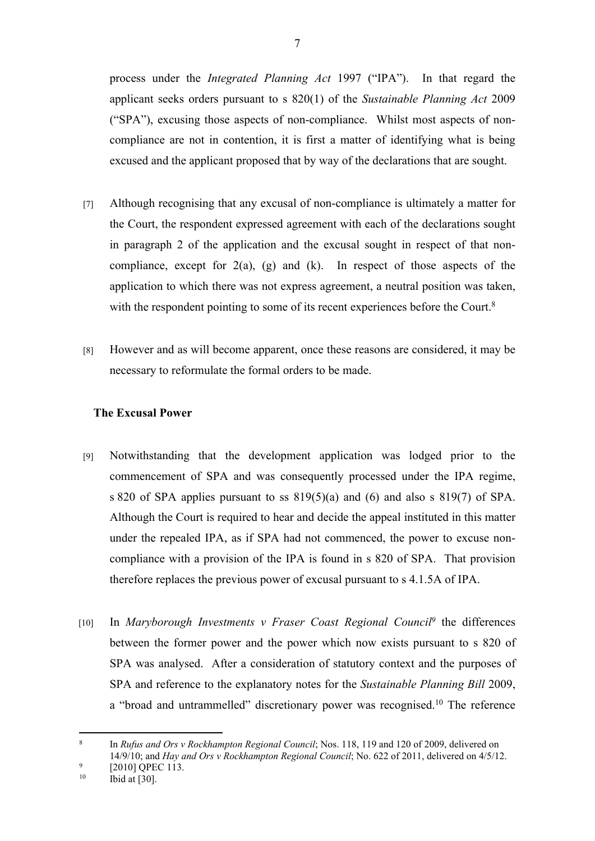process under the *Integrated Planning Act* 1997 ("IPA"). In that regard the applicant seeks orders pursuant to s 820(1) of the *Sustainable Planning Act* 2009 ("SPA"), excusing those aspects of non-compliance. Whilst most aspects of noncompliance are not in contention, it is first a matter of identifying what is being excused and the applicant proposed that by way of the declarations that are sought.

- [7] Although recognising that any excusal of non-compliance is ultimately a matter for the Court, the respondent expressed agreement with each of the declarations sought in paragraph 2 of the application and the excusal sought in respect of that noncompliance, except for  $2(a)$ ,  $(g)$  and  $(k)$ . In respect of those aspects of the application to which there was not express agreement, a neutral position was taken, with the respondent pointing to some of its recent experiences before the Court.<sup>8</sup>
- [8] However and as will become apparent, once these reasons are considered, it may be necessary to reformulate the formal orders to be made.

## **The Excusal Power**

- [9] Notwithstanding that the development application was lodged prior to the commencement of SPA and was consequently processed under the IPA regime, s 820 of SPA applies pursuant to ss 819(5)(a) and (6) and also s 819(7) of SPA. Although the Court is required to hear and decide the appeal instituted in this matter under the repealed IPA, as if SPA had not commenced, the power to excuse noncompliance with a provision of the IPA is found in s 820 of SPA. That provision therefore replaces the previous power of excusal pursuant to s 4.1.5A of IPA.
- [10] In *Maryborough Investments v Fraser Coast Regional Council<sup>9</sup> the differences* between the former power and the power which now exists pursuant to s 820 of SPA was analysed. After a consideration of statutory context and the purposes of SPA and reference to the explanatory notes for the *Sustainable Planning Bill* 2009, a "broad and untrammelled" discretionary power was recognised.<sup>10</sup> The reference

<sup>8</sup> In *Rufus and Ors v Rockhampton Regional Council*; Nos. 118, 119 and 120 of 2009, delivered on 14/9/10; and *Hay and Ors v Rockhampton Regional Council*; No. 622 of 2011, delivered on 4/5/12.

<sup>9</sup>  $^{9}$  [2010] QPEC 113.

Ibid at  $[30]$ .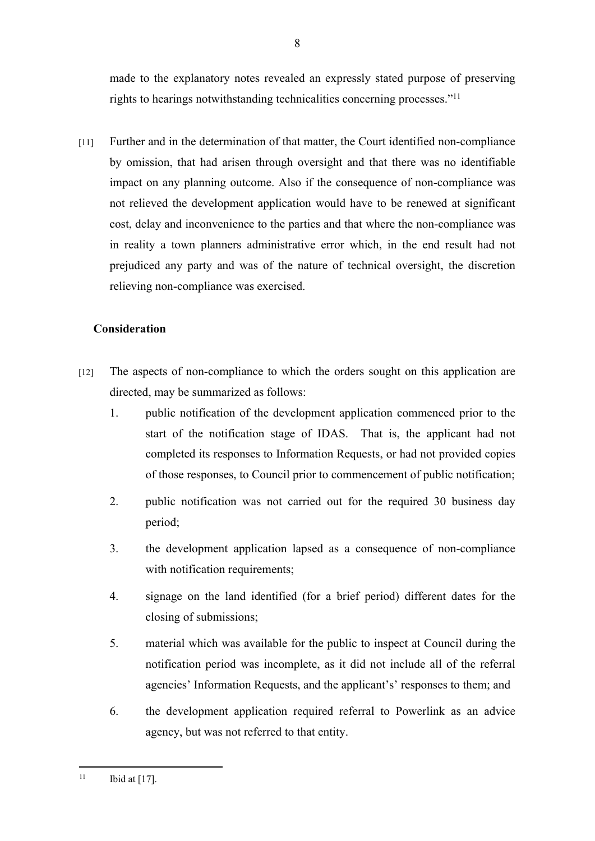made to the explanatory notes revealed an expressly stated purpose of preserving rights to hearings notwithstanding technicalities concerning processes."<sup>11</sup>

[11] Further and in the determination of that matter, the Court identified non-compliance by omission, that had arisen through oversight and that there was no identifiable impact on any planning outcome. Also if the consequence of non-compliance was not relieved the development application would have to be renewed at significant cost, delay and inconvenience to the parties and that where the non-compliance was in reality a town planners administrative error which, in the end result had not prejudiced any party and was of the nature of technical oversight, the discretion relieving non-compliance was exercised.

## **Consideration**

- [12] The aspects of non-compliance to which the orders sought on this application are directed, may be summarized as follows:
	- 1. public notification of the development application commenced prior to the start of the notification stage of IDAS. That is, the applicant had not completed its responses to Information Requests, or had not provided copies of those responses, to Council prior to commencement of public notification;
	- 2. public notification was not carried out for the required 30 business day period;
	- 3. the development application lapsed as a consequence of non-compliance with notification requirements;
	- 4. signage on the land identified (for a brief period) different dates for the closing of submissions;
	- 5. material which was available for the public to inspect at Council during the notification period was incomplete, as it did not include all of the referral agencies' Information Requests, and the applicant's' responses to them; and
	- 6. the development application required referral to Powerlink as an advice agency, but was not referred to that entity.

<sup>&</sup>lt;sup>11</sup> Ibid at [17].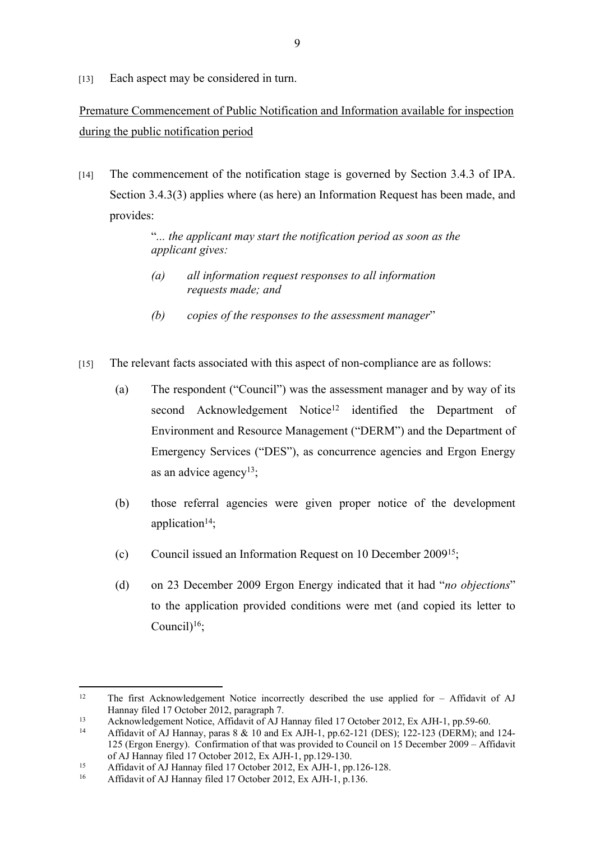[13] Each aspect may be considered in turn.

## Premature Commencement of Public Notification and Information available for inspection during the public notification period

[14] The commencement of the notification stage is governed by Section 3.4.3 of IPA. Section 3.4.3(3) applies where (as here) an Information Request has been made, and provides:

> "*... the applicant may start the notification period as soon as the applicant gives:*

- *(a) all information request responses to all information requests made; and*
- *(b) copies of the responses to the assessment manager*"
- [15] The relevant facts associated with this aspect of non-compliance are as follows:
	- (a) The respondent ("Council") was the assessment manager and by way of its second Acknowledgement Notice<sup>12</sup> identified the Department of Environment and Resource Management ("DERM") and the Department of Emergency Services ("DES"), as concurrence agencies and Ergon Energy as an advice agency<sup>13</sup>;
	- (b) those referral agencies were given proper notice of the development application $14$ ;
	- (c) Council issued an Information Request on 10 December 2009<sup>15</sup>;
	- (d) on 23 December 2009 Ergon Energy indicated that it had "*no objections*" to the application provided conditions were met (and copied its letter to Council $1^{16}$ ;

<sup>&</sup>lt;sup>12</sup> The first Acknowledgement Notice incorrectly described the use applied for – Affidavit of AJ Hannay filed 17 October 2012, paragraph 7.

<sup>13</sup> Acknowledgement Notice, Affidavit of AJ Hannay filed 17 October 2012, Ex AJH-1, pp.59-60.

<sup>14</sup> Affidavit of AJ Hannay, paras 8 & 10 and Ex AJH-1, pp.62-121 (DES); 122-123 (DERM); and 124- 125 (Ergon Energy). Confirmation of that was provided to Council on 15 December 2009 – Affidavit of AJ Hannay filed 17 October 2012, Ex AJH-1, pp.129-130.

<sup>&</sup>lt;sup>15</sup> Affidavit of AJ Hannay filed 17 October 2012,  $_{\rm EX}$  AJH-1, pp.126-128.

<sup>16</sup> Affidavit of AJ Hannay filed 17 October 2012, Ex AJH-1, p.136.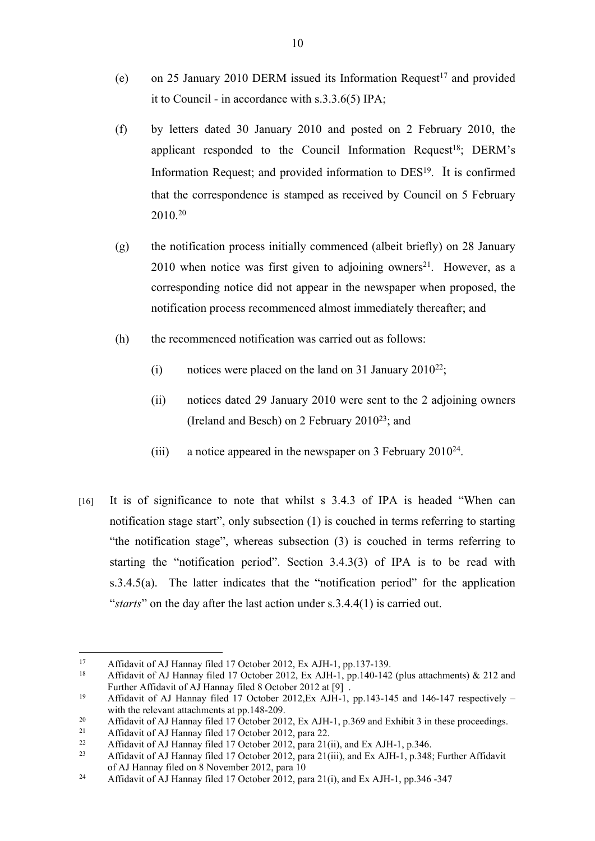- (e) on 25 January 2010 DERM issued its Information Request<sup>17</sup> and provided it to Council - in accordance with s.3.3.6(5) IPA;
- (f) by letters dated 30 January 2010 and posted on 2 February 2010, the applicant responded to the Council Information Request<sup>18</sup>; DERM's Information Request; and provided information to DES<sup>19</sup> . It is confirmed that the correspondence is stamped as received by Council on 5 February 2010.<sup>20</sup>
- (g) the notification process initially commenced (albeit briefly) on 28 January  $2010$  when notice was first given to adjoining owners<sup>21</sup>. However, as a corresponding notice did not appear in the newspaper when proposed, the notification process recommenced almost immediately thereafter; and
- (h) the recommenced notification was carried out as follows:
	- (i) notices were placed on the land on 31 January 2010<sup>22</sup>;
	- (ii) notices dated 29 January 2010 were sent to the 2 adjoining owners (Ireland and Besch) on 2 February 2010<sup>23</sup>; and
	- (iii) a notice appeared in the newspaper on 3 February 2010<sup>24</sup>.
- [16] It is of significance to note that whilst s 3.4.3 of IPA is headed "When can notification stage start", only subsection (1) is couched in terms referring to starting "the notification stage", whereas subsection (3) is couched in terms referring to starting the "notification period". Section 3.4.3(3) of IPA is to be read with s.3.4.5(a). The latter indicates that the "notification period" for the application "*starts*" on the day after the last action under s.3.4.4(1) is carried out.

<sup>&</sup>lt;sup>17</sup> Affidavit of AJ Hannay filed 17 October 2012, Ex AJH-1, pp.137-139.<br><sup>18</sup> Affidavit of AJ Hannay filed 17 October 2012, Ex AJH-1, pp.140-142

<sup>18</sup> Affidavit of AJ Hannay filed 17 October 2012, Ex AJH-1, pp.140-142 (plus attachments) & 212 and Further Affidavit of AJ Hannay filed 8 October 2012 at [9] .

<sup>19</sup> Affidavit of AJ Hannay filed 17 October 2012,Ex AJH-1, pp.143-145 and 146-147 respectively – with the relevant attachments at pp.148-209.

<sup>&</sup>lt;sup>20</sup> Affidavit of AJ Hannay filed 17 October 2012, Ex AJH-1, p.369 and Exhibit 3 in these proceedings.<br>Affidavit of AJ Hannay filed 17 October 2012, para 22

<sup>21</sup> Affidavit of AJ Hannay filed 17 October 2012, para 22.<br>Affidavit of AJ Hannay filed 17 October 2012, para 210

<sup>&</sup>lt;sup>22</sup> Affidavit of AJ Hannay filed 17 October 2012, para 21(ii), and Ex AJH-1, p.346.

<sup>23</sup> Affidavit of AJ Hannay filed 17 October 2012, para 21(iii), and Ex AJH-1, p.348; Further Affidavit of AJ Hannay filed on 8 November 2012, para 10

<sup>&</sup>lt;sup>24</sup> Affidavit of AJ Hannay filed 17 October 2012, para 21(i), and Ex AJH-1, pp.346 -347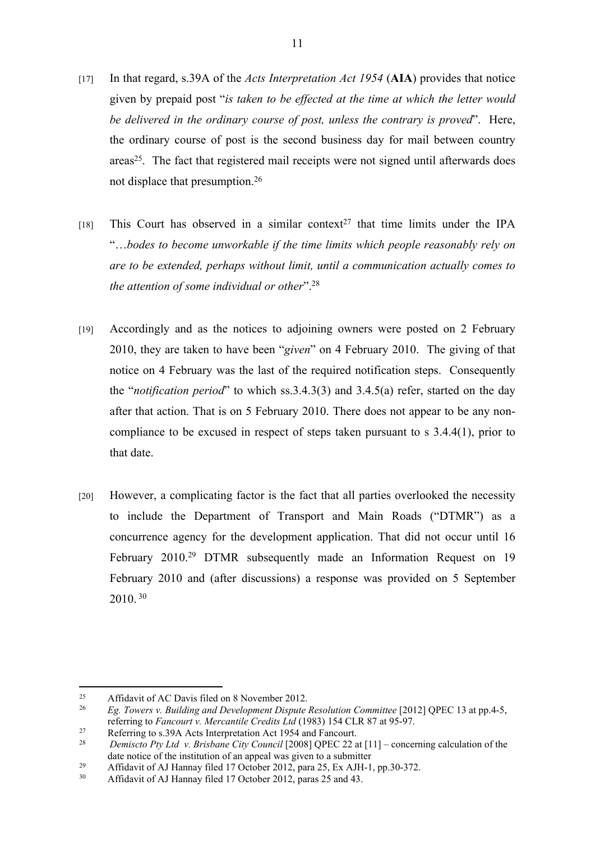- [17] In that regard, s.39A of the *Acts Interpretation Act 1954* (**AIA**) provides that notice given by prepaid post "*is taken to be effected at the time at which the letter would be delivered in the ordinary course of post, unless the contrary is proved*". Here, the ordinary course of post is the second business day for mail between country areas<sup>25</sup>. The fact that registered mail receipts were not signed until afterwards does not displace that presumption.<sup>26</sup>
- [18] This Court has observed in a similar context<sup>27</sup> that time limits under the IPA "…*bodes to become unworkable if the time limits which people reasonably rely on are to be extended, perhaps without limit, until a communication actually comes to the attention of some individual or other*".<sup>28</sup>
- [19] Accordingly and as the notices to adjoining owners were posted on 2 February 2010, they are taken to have been "*given*" on 4 February 2010. The giving of that notice on 4 February was the last of the required notification steps. Consequently the "*notification period*" to which ss.3.4.3(3) and 3.4.5(a) refer, started on the day after that action. That is on 5 February 2010. There does not appear to be any noncompliance to be excused in respect of steps taken pursuant to s 3.4.4(1), prior to that date.
- [20] However, a complicating factor is the fact that all parties overlooked the necessity to include the Department of Transport and Main Roads ("DTMR") as a concurrence agency for the development application. That did not occur until 16 February 2010.<sup>29</sup> DTMR subsequently made an Information Request on 19 February 2010 and (after discussions) a response was provided on 5 September 2010.<sup>30</sup>

<sup>&</sup>lt;sup>25</sup> Affidavit of AC Davis filed on 8 November 2012.

<sup>26</sup> *Eg. Towers v. Building and Development Dispute Resolution Committee* [2012] QPEC 13 at pp.4-5, referring to *Fancourt v. Mercantile Credits Ltd* (1983) 154 CLR 87 at 95-97.

<sup>&</sup>lt;sup>27</sup> Referring to s.39A Acts Interpretation Act 1954 and Fancourt.<br><sup>28</sup> Demission Pty Ltd. v. Brishane City Council [2008] OPEC 22.3

<sup>28</sup> *Demiscto Pty Ltd v. Brisbane City Council* [2008] QPEC 22 at [11] – concerning calculation of the date notice of the institution of an appeal was given to a submitter

<sup>&</sup>lt;sup>29</sup> Affidavit of AJ Hannay filed 17 October 2012, para 25, Ex AJH-1, pp.30-372.<br> $\frac{30}{4}$  Affidavit of AJ Hannay filed 17 October 2012, paras 25 and 43

<sup>30</sup> Affidavit of AJ Hannay filed 17 October 2012, paras 25 and 43.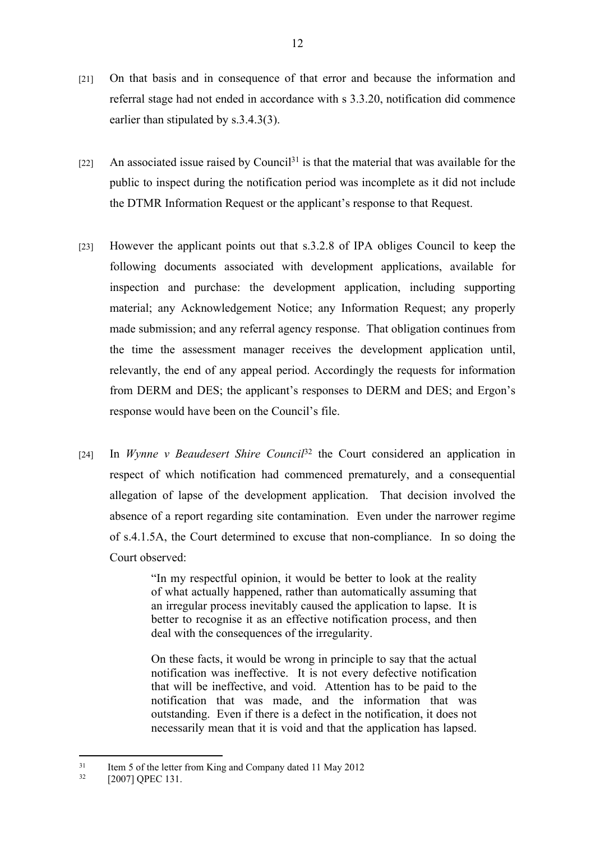- [21] On that basis and in consequence of that error and because the information and referral stage had not ended in accordance with s 3.3.20, notification did commence earlier than stipulated by s.3.4.3(3).
- $[22]$  An associated issue raised by Council<sup>31</sup> is that the material that was available for the public to inspect during the notification period was incomplete as it did not include the DTMR Information Request or the applicant's response to that Request.
- [23] However the applicant points out that s.3.2.8 of IPA obliges Council to keep the following documents associated with development applications, available for inspection and purchase: the development application, including supporting material; any Acknowledgement Notice; any Information Request; any properly made submission; and any referral agency response. That obligation continues from the time the assessment manager receives the development application until, relevantly, the end of any appeal period. Accordingly the requests for information from DERM and DES; the applicant's responses to DERM and DES; and Ergon's response would have been on the Council's file.
- [24] In *Wynne v Beaudesert Shire Council*<sup>32</sup> the Court considered an application in respect of which notification had commenced prematurely, and a consequential allegation of lapse of the development application. That decision involved the absence of a report regarding site contamination. Even under the narrower regime of s.4.1.5A, the Court determined to excuse that non-compliance. In so doing the Court observed:

"In my respectful opinion, it would be better to look at the reality of what actually happened, rather than automatically assuming that an irregular process inevitably caused the application to lapse. It is better to recognise it as an effective notification process, and then deal with the consequences of the irregularity.

On these facts, it would be wrong in principle to say that the actual notification was ineffective. It is not every defective notification that will be ineffective, and void. Attention has to be paid to the notification that was made, and the information that was outstanding. Even if there is a defect in the notification, it does not necessarily mean that it is void and that the application has lapsed.

 $31$  Item 5 of the letter from King and Company dated 11 May 2012<br> $32 \qquad 520071 \text{ ODEC}$  131

<sup>[2007]</sup> QPEC 131.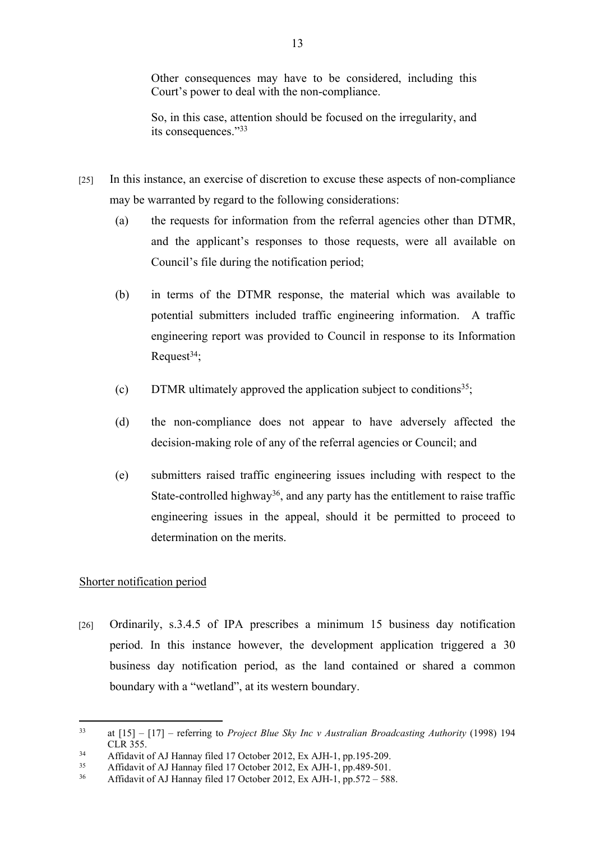Other consequences may have to be considered, including this Court's power to deal with the non-compliance.

So, in this case, attention should be focused on the irregularity, and its consequences."<sup>33</sup>

- [25] In this instance, an exercise of discretion to excuse these aspects of non-compliance may be warranted by regard to the following considerations:
	- (a) the requests for information from the referral agencies other than DTMR, and the applicant's responses to those requests, were all available on Council's file during the notification period;
	- (b) in terms of the DTMR response, the material which was available to potential submitters included traffic engineering information. A traffic engineering report was provided to Council in response to its Information Request $34$ :
	- (c) DTMR ultimately approved the application subject to conditions<sup>35</sup>;
	- (d) the non-compliance does not appear to have adversely affected the decision-making role of any of the referral agencies or Council; and
	- (e) submitters raised traffic engineering issues including with respect to the State-controlled highway<sup>36</sup>, and any party has the entitlement to raise traffic engineering issues in the appeal, should it be permitted to proceed to determination on the merits.

## Shorter notification period

[26] Ordinarily, s.3.4.5 of IPA prescribes a minimum 15 business day notification period. In this instance however, the development application triggered a 30 business day notification period, as the land contained or shared a common boundary with a "wetland", at its western boundary.

<sup>33</sup> at [15] – [17] – referring to *Project Blue Sky Inc v Australian Broadcasting Authority* (1998) 194 CLR 355.

<sup>34</sup> Affidavit of AJ Hannay filed 17 October 2012, Ex AJH-1, pp.195-209.<br> $\frac{35}{25}$  Affidavit of AJ Hannay filed 17 October 2012, Ex AJH-1, pp.480-501.

<sup>&</sup>lt;sup>35</sup> Affidavit of AJ Hannay filed 17 October 2012, Ex AJH-1, pp.489-501.<br> $\frac{36}{4}$  Affidavit of AJ Hannay filed 17 October 2012, Ex AJH-1, pp.572 – 588

<sup>36</sup> Affidavit of AJ Hannay filed 17 October 2012, Ex AJH-1, pp.572 – 588.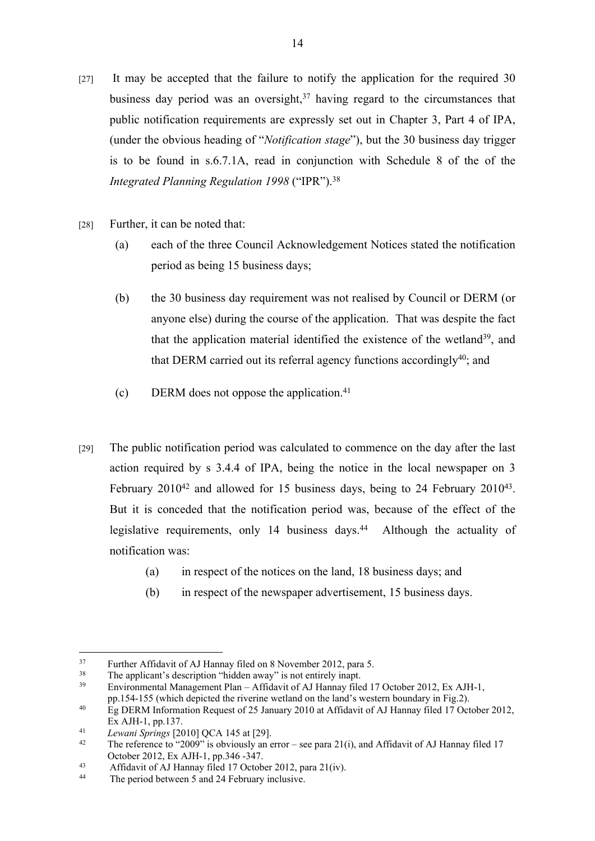- [27] It may be accepted that the failure to notify the application for the required 30 business day period was an oversight, $37$  having regard to the circumstances that public notification requirements are expressly set out in Chapter 3, Part 4 of IPA, (under the obvious heading of "*Notification stage*"), but the 30 business day trigger is to be found in s.6.7.1A, read in conjunction with Schedule 8 of the of the *Integrated Planning Regulation 1998* ("IPR").<sup>38</sup>
- [28] Further, it can be noted that:
	- (a) each of the three Council Acknowledgement Notices stated the notification period as being 15 business days;
	- (b) the 30 business day requirement was not realised by Council or DERM (or anyone else) during the course of the application. That was despite the fact that the application material identified the existence of the wetland<sup>39</sup>, and that DERM carried out its referral agency functions accordingly<sup>40</sup>; and
	- (c) DERM does not oppose the application.<sup>41</sup>
- [29] The public notification period was calculated to commence on the day after the last action required by s 3.4.4 of IPA, being the notice in the local newspaper on 3 February  $2010^{42}$  and allowed for 15 business days, being to 24 February  $2010^{43}$ . But it is conceded that the notification period was, because of the effect of the legislative requirements, only 14 business days.<sup>44</sup> Although the actuality of notification was:
	- (a) in respect of the notices on the land, 18 business days; and
	- (b) in respect of the newspaper advertisement, 15 business days.

<sup>&</sup>lt;sup>37</sup> Further Affidavit of AJ Hannay filed on 8 November 2012, para 5.<br><sup>38</sup> The applicant's description "hidden away" is not entirely inant

<sup>&</sup>lt;sup>38</sup> The applicant's description "hidden away" is not entirely inapt.<br> $\frac{39}{12}$  Environmental Management Plan, Affidavit of ALHannay file

<sup>39</sup> Environmental Management Plan – Affidavit of AJ Hannay filed 17 October 2012, Ex AJH-1, pp.154-155 (which depicted the riverine wetland on the land's western boundary in Fig.2).

<sup>&</sup>lt;sup>40</sup> Eg DERM Information Request of 25 January 2010 at Affidavit of AJ Hannay filed 17 October 2012, Ex AJH-1, pp.137.

<sup>41</sup> *Lewani Springs* [2010] QCA 145 at [29].

The reference to "2009" is obviously an error – see para 21(i), and Affidavit of AJ Hannay filed 17 October 2012, Ex AJH-1, pp.346 -347.

<sup>43</sup> Affidavit of  $\overrightarrow{A}$  Hannay filed 17 October 2012, para 21(iv).

The period between 5 and 24 February inclusive.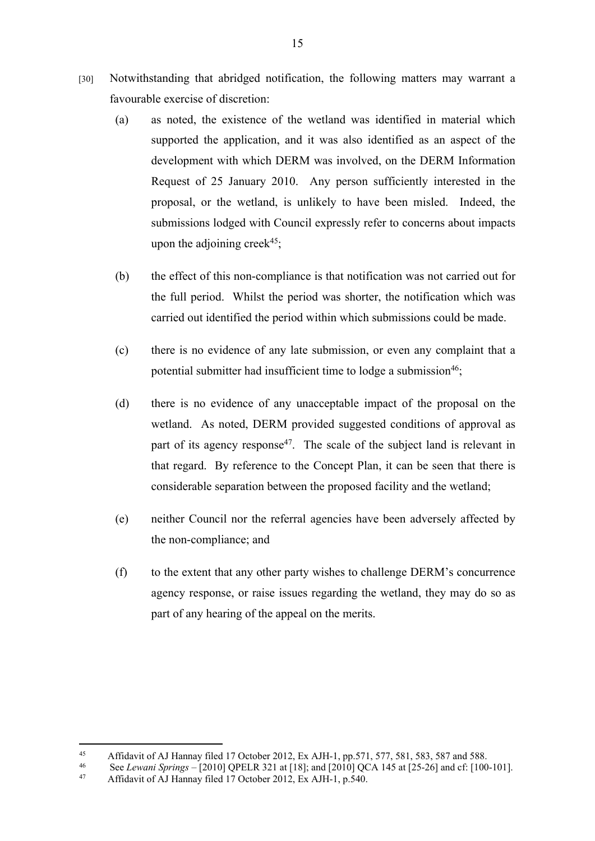- [30] Notwithstanding that abridged notification, the following matters may warrant a favourable exercise of discretion:
	- (a) as noted, the existence of the wetland was identified in material which supported the application, and it was also identified as an aspect of the development with which DERM was involved, on the DERM Information Request of 25 January 2010. Any person sufficiently interested in the proposal, or the wetland, is unlikely to have been misled. Indeed, the submissions lodged with Council expressly refer to concerns about impacts upon the adjoining creek<sup>45</sup>;
	- (b) the effect of this non-compliance is that notification was not carried out for the full period. Whilst the period was shorter, the notification which was carried out identified the period within which submissions could be made.
	- (c) there is no evidence of any late submission, or even any complaint that a potential submitter had insufficient time to lodge a submission<sup>46</sup>;
	- (d) there is no evidence of any unacceptable impact of the proposal on the wetland. As noted, DERM provided suggested conditions of approval as part of its agency response<sup>47</sup>. The scale of the subject land is relevant in that regard. By reference to the Concept Plan, it can be seen that there is considerable separation between the proposed facility and the wetland;
	- (e) neither Council nor the referral agencies have been adversely affected by the non-compliance; and
	- (f) to the extent that any other party wishes to challenge DERM's concurrence agency response, or raise issues regarding the wetland, they may do so as part of any hearing of the appeal on the merits.

<sup>45</sup> Affidavit of AJ Hannay filed 17 October 2012, Ex AJH-1, pp.571, 577, 581, 583, 587 and 588.<br>46 See Lawayi Springs 120101 OPEL B 321 at [18]; and [2010] OCA 145 at [25, 26] and of [100]

<sup>46</sup> See *Lewani Springs* – [2010] QPELR 321 at [18]; and [2010] QCA 145 at [25-26] and cf: [100-101].

<sup>47</sup> Affidavit of AJ Hannay filed 17 October 2012, Ex AJH-1, p.540.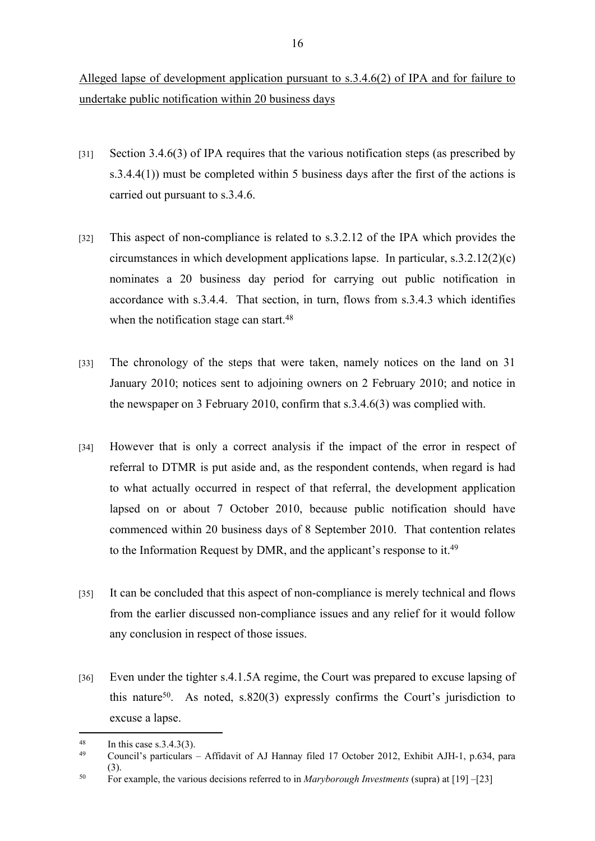Alleged lapse of development application pursuant to s.3.4.6(2) of IPA and for failure to undertake public notification within 20 business days

- [31] Section 3.4.6(3) of IPA requires that the various notification steps (as prescribed by s.3.4.4(1)) must be completed within 5 business days after the first of the actions is carried out pursuant to s.3.4.6.
- [32] This aspect of non-compliance is related to s.3.2.12 of the IPA which provides the circumstances in which development applications lapse. In particular, s.3.2.12(2)(c) nominates a 20 business day period for carrying out public notification in accordance with s.3.4.4. That section, in turn, flows from s.3.4.3 which identifies when the notification stage can start.<sup>48</sup>
- [33] The chronology of the steps that were taken, namely notices on the land on 31 January 2010; notices sent to adjoining owners on 2 February 2010; and notice in the newspaper on 3 February 2010, confirm that s.3.4.6(3) was complied with.
- [34] However that is only a correct analysis if the impact of the error in respect of referral to DTMR is put aside and, as the respondent contends, when regard is had to what actually occurred in respect of that referral, the development application lapsed on or about 7 October 2010, because public notification should have commenced within 20 business days of 8 September 2010. That contention relates to the Information Request by DMR, and the applicant's response to it.<sup>49</sup>
- [35] It can be concluded that this aspect of non-compliance is merely technical and flows from the earlier discussed non-compliance issues and any relief for it would follow any conclusion in respect of those issues.
- [36] Even under the tighter s.4.1.5A regime, the Court was prepared to excuse lapsing of this nature<sup>50</sup>. As noted, s.820(3) expressly confirms the Court's jurisdiction to excuse a lapse.

 $\frac{48}{49}$  In this case s.3.4.3(3).

<sup>49</sup> Council's particulars – Affidavit of AJ Hannay filed 17 October 2012, Exhibit AJH-1, p.634, para (3).

<sup>50</sup> For example, the various decisions referred to in *Maryborough Investments* (supra) at [19] –[23]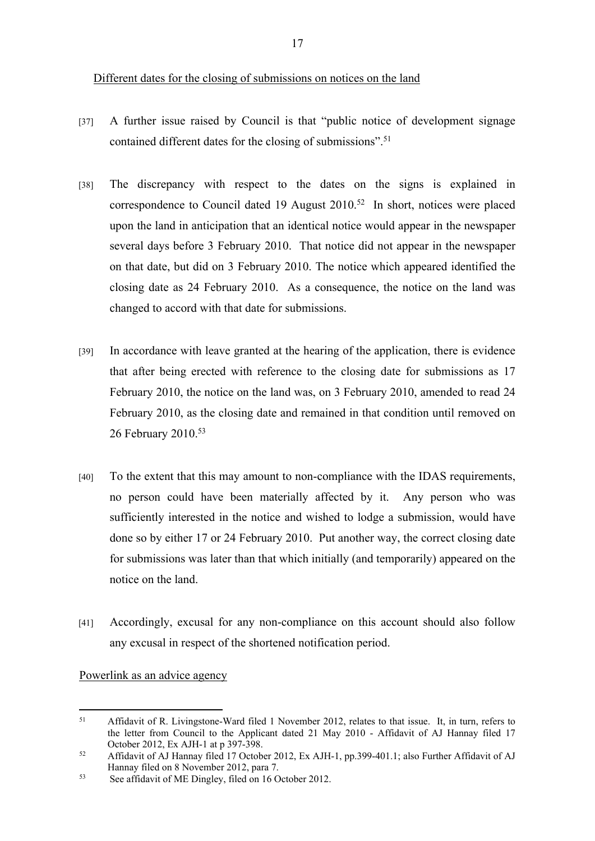- [37] A further issue raised by Council is that "public notice of development signage contained different dates for the closing of submissions".<sup>51</sup>
- [38] The discrepancy with respect to the dates on the signs is explained in correspondence to Council dated 19 August 2010.<sup>52</sup> In short, notices were placed upon the land in anticipation that an identical notice would appear in the newspaper several days before 3 February 2010. That notice did not appear in the newspaper on that date, but did on 3 February 2010. The notice which appeared identified the closing date as 24 February 2010. As a consequence, the notice on the land was changed to accord with that date for submissions.
- [39] In accordance with leave granted at the hearing of the application, there is evidence that after being erected with reference to the closing date for submissions as 17 February 2010, the notice on the land was, on 3 February 2010, amended to read 24 February 2010, as the closing date and remained in that condition until removed on 26 February 2010.<sup>53</sup>
- [40] To the extent that this may amount to non-compliance with the IDAS requirements, no person could have been materially affected by it. Any person who was sufficiently interested in the notice and wished to lodge a submission, would have done so by either 17 or 24 February 2010. Put another way, the correct closing date for submissions was later than that which initially (and temporarily) appeared on the notice on the land.
- [41] Accordingly, excusal for any non-compliance on this account should also follow any excusal in respect of the shortened notification period.

#### Powerlink as an advice agency

<sup>51</sup> Affidavit of R. Livingstone-Ward filed 1 November 2012, relates to that issue. It, in turn, refers to the letter from Council to the Applicant dated 21 May 2010 - Affidavit of AJ Hannay filed 17 October 2012, Ex AJH-1 at p 397-398.

<sup>52</sup> Affidavit of AJ Hannay filed 17 October 2012, Ex AJH-1, pp.399-401.1; also Further Affidavit of AJ Hannay filed on 8 November 2012, para 7.

<sup>53</sup> See affidavit of ME Dingley, filed on 16 October 2012.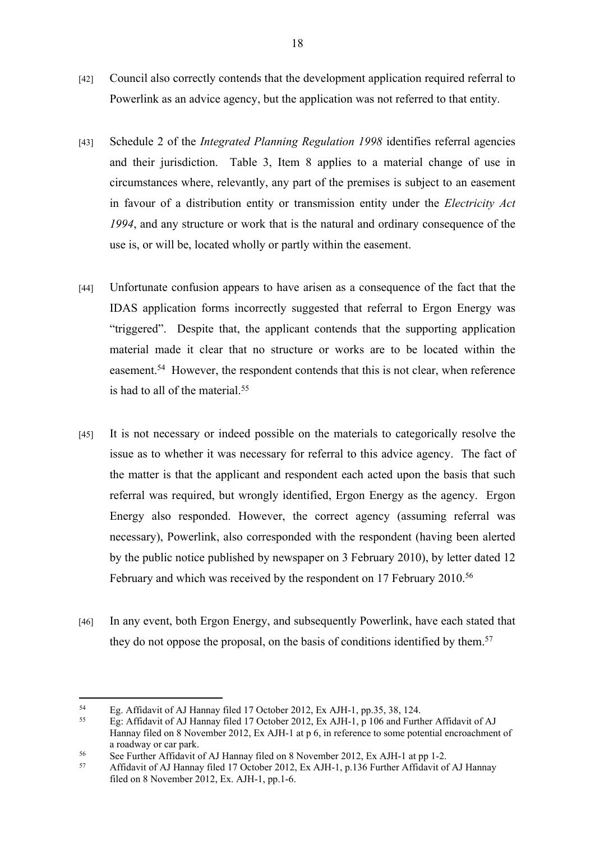- [42] Council also correctly contends that the development application required referral to Powerlink as an advice agency, but the application was not referred to that entity.
- [43] Schedule 2 of the *Integrated Planning Regulation 1998* identifies referral agencies and their jurisdiction. Table 3, Item 8 applies to a material change of use in circumstances where, relevantly, any part of the premises is subject to an easement in favour of a distribution entity or transmission entity under the *Electricity Act 1994*, and any structure or work that is the natural and ordinary consequence of the use is, or will be, located wholly or partly within the easement.
- [44] Unfortunate confusion appears to have arisen as a consequence of the fact that the IDAS application forms incorrectly suggested that referral to Ergon Energy was "triggered". Despite that, the applicant contends that the supporting application material made it clear that no structure or works are to be located within the easement.<sup>54</sup> However, the respondent contends that this is not clear, when reference is had to all of the material.<sup>55</sup>
- [45] It is not necessary or indeed possible on the materials to categorically resolve the issue as to whether it was necessary for referral to this advice agency. The fact of the matter is that the applicant and respondent each acted upon the basis that such referral was required, but wrongly identified, Ergon Energy as the agency. Ergon Energy also responded. However, the correct agency (assuming referral was necessary), Powerlink, also corresponded with the respondent (having been alerted by the public notice published by newspaper on 3 February 2010), by letter dated 12 February and which was received by the respondent on 17 February 2010.<sup>56</sup>
- [46] In any event, both Ergon Energy, and subsequently Powerlink, have each stated that they do not oppose the proposal, on the basis of conditions identified by them.<sup>57</sup>

<sup>&</sup>lt;sup>54</sup> Eg. Affidavit of AJ Hannay filed 17 October 2012, Ex AJH-1, pp.35, 38, 124.

<sup>55</sup> Eg: Affidavit of AJ Hannay filed 17 October 2012, Ex AJH-1, p 106 and Further Affidavit of AJ Hannay filed on 8 November 2012, Ex AJH-1 at p 6, in reference to some potential encroachment of a roadway or car park.

<sup>&</sup>lt;sup>56</sup> See Further Affidavit of AJ Hannay filed on 8 November 2012, Ex AJH-1 at pp 1-2.<br>Affidavit of AJ Hannay filed 17 October 2012, Ex AJH-1 p 126 Eurther Affidavit of

<sup>57</sup> Affidavit of AJ Hannay filed 17 October 2012, Ex AJH-1, p.136 Further Affidavit of AJ Hannay filed on 8 November 2012, Ex. AJH-1, pp.1-6.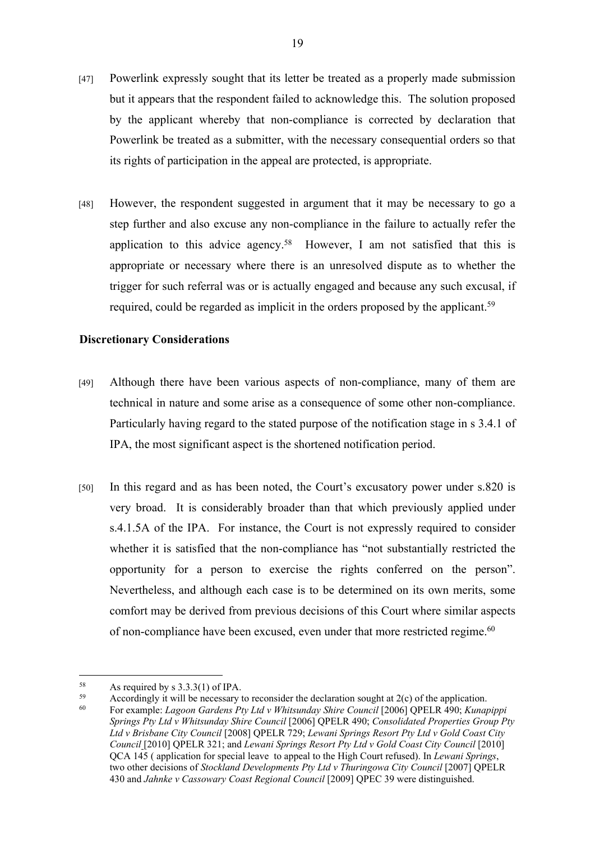- [47] Powerlink expressly sought that its letter be treated as a properly made submission but it appears that the respondent failed to acknowledge this. The solution proposed by the applicant whereby that non-compliance is corrected by declaration that Powerlink be treated as a submitter, with the necessary consequential orders so that its rights of participation in the appeal are protected, is appropriate.
- [48] However, the respondent suggested in argument that it may be necessary to go a step further and also excuse any non-compliance in the failure to actually refer the application to this advice agency.<sup>58</sup> However, I am not satisfied that this is appropriate or necessary where there is an unresolved dispute as to whether the trigger for such referral was or is actually engaged and because any such excusal, if required, could be regarded as implicit in the orders proposed by the applicant.<sup>59</sup>

#### **Discretionary Considerations**

- [49] Although there have been various aspects of non-compliance, many of them are technical in nature and some arise as a consequence of some other non-compliance. Particularly having regard to the stated purpose of the notification stage in s 3.4.1 of IPA, the most significant aspect is the shortened notification period.
- [50] In this regard and as has been noted, the Court's excusatory power under s.820 is very broad. It is considerably broader than that which previously applied under s.4.1.5A of the IPA. For instance, the Court is not expressly required to consider whether it is satisfied that the non-compliance has "not substantially restricted the opportunity for a person to exercise the rights conferred on the person". Nevertheless, and although each case is to be determined on its own merits, some comfort may be derived from previous decisions of this Court where similar aspects of non-compliance have been excused, even under that more restricted regime.<sup>60</sup>

<sup>&</sup>lt;sup>58</sup> As required by s  $3.3.3(1)$  of IPA.

<sup>59</sup> Accordingly it will be necessary to reconsider the declaration sought at  $2(c)$  of the application.

<sup>60</sup> For example: *Lagoon Gardens Pty Ltd v Whitsunday Shire Council* [2006] QPELR 490; *Kunapippi Springs Pty Ltd v Whitsunday Shire Council* [2006] QPELR 490; *Consolidated Properties Group Pty Ltd v Brisbane City Council* [2008] QPELR 729; *Lewani Springs Resort Pty Ltd v Gold Coast City Council* [2010] QPELR 321; and *Lewani Springs Resort Pty Ltd v Gold Coast City Council* [2010] QCA 145 ( application for special leave to appeal to the High Court refused). In *Lewani Springs*, two other decisions of *Stockland Developments Pty Ltd v Thuringowa City Council* [2007] QPELR 430 and *Jahnke v Cassowary Coast Regional Council* [2009] QPEC 39 were distinguished.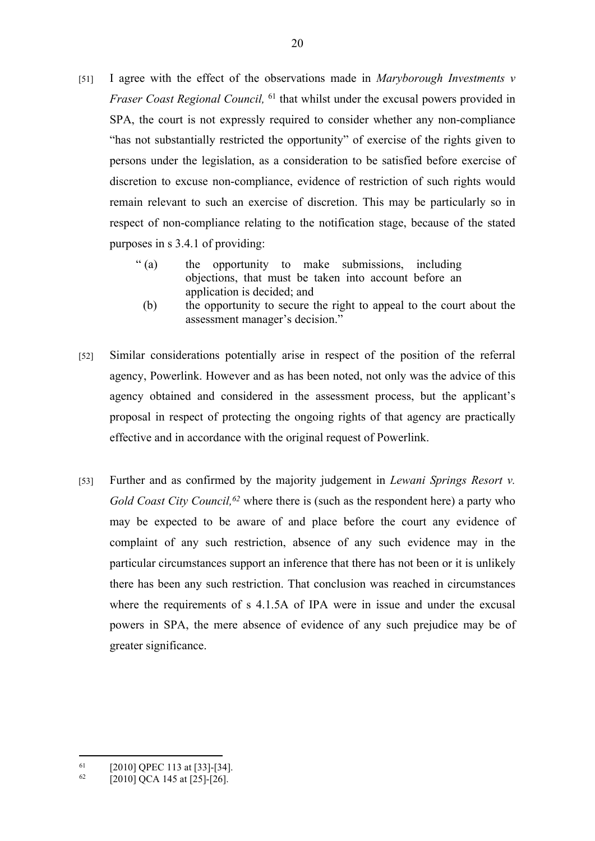- [51] I agree with the effect of the observations made in *Maryborough Investments v Fraser Coast Regional Council*, <sup>61</sup> that whilst under the excusal powers provided in SPA, the court is not expressly required to consider whether any non-compliance "has not substantially restricted the opportunity" of exercise of the rights given to persons under the legislation, as a consideration to be satisfied before exercise of discretion to excuse non-compliance, evidence of restriction of such rights would remain relevant to such an exercise of discretion. This may be particularly so in respect of non-compliance relating to the notification stage, because of the stated purposes in s 3.4.1 of providing:
	- " (a) the opportunity to make submissions, including objections, that must be taken into account before an application is decided; and
		- (b) the opportunity to secure the right to appeal to the court about the assessment manager's decision."
- [52] Similar considerations potentially arise in respect of the position of the referral agency, Powerlink. However and as has been noted, not only was the advice of this agency obtained and considered in the assessment process, but the applicant's proposal in respect of protecting the ongoing rights of that agency are practically effective and in accordance with the original request of Powerlink.
- [53] Further and as confirmed by the majority judgement in *Lewani Springs Resort v. Gold Coast City Council,<sup>62</sup>* where there is (such as the respondent here) a party who may be expected to be aware of and place before the court any evidence of complaint of any such restriction, absence of any such evidence may in the particular circumstances support an inference that there has not been or it is unlikely there has been any such restriction. That conclusion was reached in circumstances where the requirements of s 4.1.5A of IPA were in issue and under the excusal powers in SPA, the mere absence of evidence of any such prejudice may be of greater significance.

 $^{61}$  [2010] QPEC 113 at [33]-[34].

 $[2010]$  QCA 145 at  $[25]$ - $[26]$ .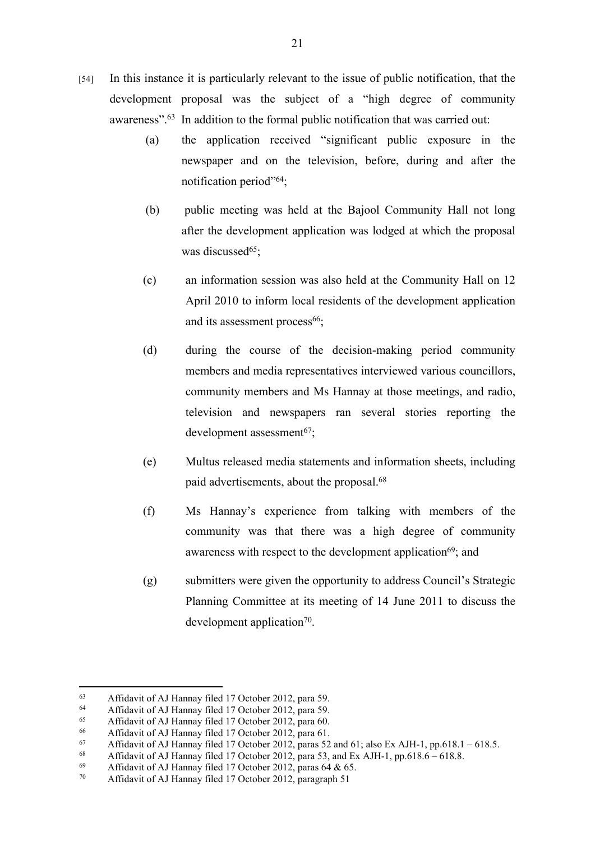- [54] In this instance it is particularly relevant to the issue of public notification, that the development proposal was the subject of a "high degree of community awareness".<sup>63</sup> In addition to the formal public notification that was carried out:
	- (a) the application received "significant public exposure in the newspaper and on the television, before, during and after the notification period"<sup>64</sup>;
	- (b) public meeting was held at the Bajool Community Hall not long after the development application was lodged at which the proposal was discussed $65$ ;
	- (c) an information session was also held at the Community Hall on 12 April 2010 to inform local residents of the development application and its assessment process<sup>66</sup>;
	- (d) during the course of the decision-making period community members and media representatives interviewed various councillors, community members and Ms Hannay at those meetings, and radio, television and newspapers ran several stories reporting the development assessment<sup>67</sup>;
	- (e) Multus released media statements and information sheets, including paid advertisements, about the proposal.<sup>68</sup>
	- (f) Ms Hannay's experience from talking with members of the community was that there was a high degree of community awareness with respect to the development application<sup>69</sup>; and
	- (g) submitters were given the opportunity to address Council's Strategic Planning Committee at its meeting of 14 June 2011 to discuss the development application<sup>70</sup>.

<sup>63</sup> Affidavit of AJ Hannay filed 17 October 2012, para 59.

<sup>&</sup>lt;sup>64</sup> Affidavit of AJ Hannay filed 17 October 2012, para 59.<br><sup>65</sup> Affidavit of AJ Hannay filed 17 October 2012, para 60.

Affidavit of AJ Hannay filed 17 October 2012, para 60.

<sup>66</sup> Affidavit of AJ Hannay filed 17 October 2012, para 61.

<sup>67</sup> Affidavit of AJ Hannay filed 17 October 2012, paras 52 and 61; also Ex AJH-1, pp.618.1 – 618.5.

<sup>68</sup> Affidavit of AJ Hannay filed 17 October 2012, para 53, and Ex AJH-1, pp.618.6 – 618.8.<br>69 Affidavit of AJ Hannay filed 17 October 2012, paras 64.8:65

<sup>69</sup> Affidavit of AJ Hannay filed 17 October 2012, paras 64 & 65.

Affidavit of AJ Hannay filed 17 October 2012, paragraph 51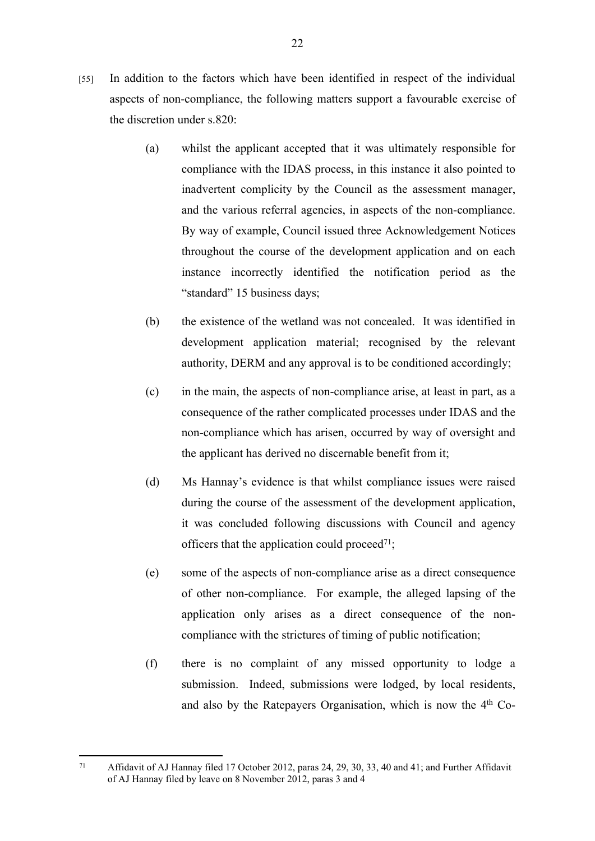- [55] In addition to the factors which have been identified in respect of the individual aspects of non-compliance, the following matters support a favourable exercise of the discretion under s.820:
	- (a) whilst the applicant accepted that it was ultimately responsible for compliance with the IDAS process, in this instance it also pointed to inadvertent complicity by the Council as the assessment manager, and the various referral agencies, in aspects of the non-compliance. By way of example, Council issued three Acknowledgement Notices throughout the course of the development application and on each instance incorrectly identified the notification period as the "standard" 15 business days;
	- (b) the existence of the wetland was not concealed. It was identified in development application material; recognised by the relevant authority, DERM and any approval is to be conditioned accordingly;
	- (c) in the main, the aspects of non-compliance arise, at least in part, as a consequence of the rather complicated processes under IDAS and the non-compliance which has arisen, occurred by way of oversight and the applicant has derived no discernable benefit from it;
	- (d) Ms Hannay's evidence is that whilst compliance issues were raised during the course of the assessment of the development application, it was concluded following discussions with Council and agency officers that the application could proceed<sup>71</sup>;
	- (e) some of the aspects of non-compliance arise as a direct consequence of other non-compliance. For example, the alleged lapsing of the application only arises as a direct consequence of the noncompliance with the strictures of timing of public notification;
	- (f) there is no complaint of any missed opportunity to lodge a submission. Indeed, submissions were lodged, by local residents, and also by the Ratepayers Organisation, which is now the 4th Co-

<sup>71</sup> Affidavit of AJ Hannay filed 17 October 2012, paras 24, 29, 30, 33, 40 and 41; and Further Affidavit of AJ Hannay filed by leave on 8 November 2012, paras 3 and 4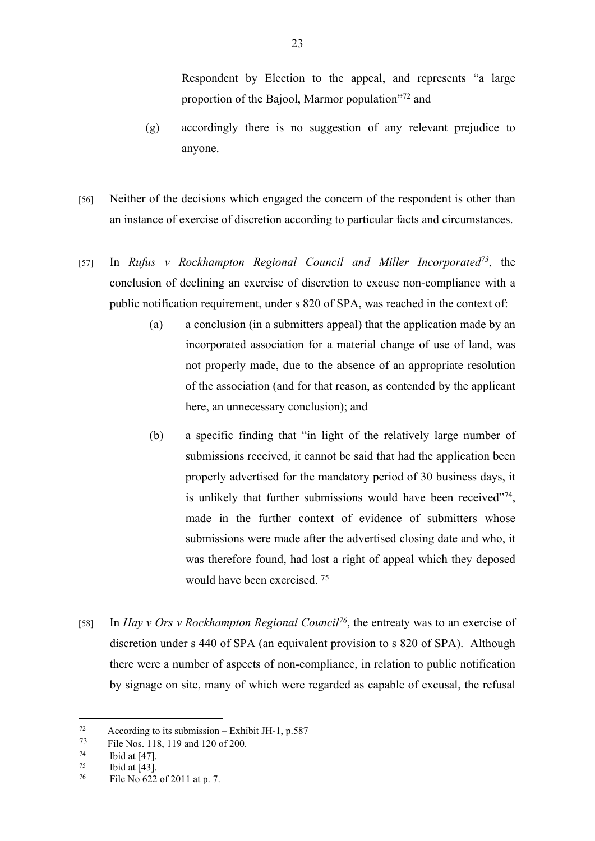Respondent by Election to the appeal, and represents "a large proportion of the Bajool, Marmor population"<sup>72</sup> and

- (g) accordingly there is no suggestion of any relevant prejudice to anyone.
- [56] Neither of the decisions which engaged the concern of the respondent is other than an instance of exercise of discretion according to particular facts and circumstances.
- [57] In *Rufus v Rockhampton Regional Council and Miller Incorporated<sup>73</sup>*, the conclusion of declining an exercise of discretion to excuse non-compliance with a public notification requirement, under s 820 of SPA, was reached in the context of:
	- (a) a conclusion (in a submitters appeal) that the application made by an incorporated association for a material change of use of land, was not properly made, due to the absence of an appropriate resolution of the association (and for that reason, as contended by the applicant here, an unnecessary conclusion); and
	- (b) a specific finding that "in light of the relatively large number of submissions received, it cannot be said that had the application been properly advertised for the mandatory period of 30 business days, it is unlikely that further submissions would have been received $174$ , made in the further context of evidence of submitters whose submissions were made after the advertised closing date and who, it was therefore found, had lost a right of appeal which they deposed would have been exercised. <sup>75</sup>
- [58] In *Hay v Ors v Rockhampton Regional Council<sup>76</sup>*, the entreaty was to an exercise of discretion under s 440 of SPA (an equivalent provision to s 820 of SPA). Although there were a number of aspects of non-compliance, in relation to public notification by signage on site, many of which were regarded as capable of excusal, the refusal

 $72$  According to its submission – Exhibit JH-1, p.587

<sup>73</sup> File Nos. 118, 119 and 120 of 200.

 $^{74}$  Ibid at [47].

 $^{75}$  Ibid at [43].<br>  $^{76}$  Eile No.622

File No 622 of 2011 at p. 7.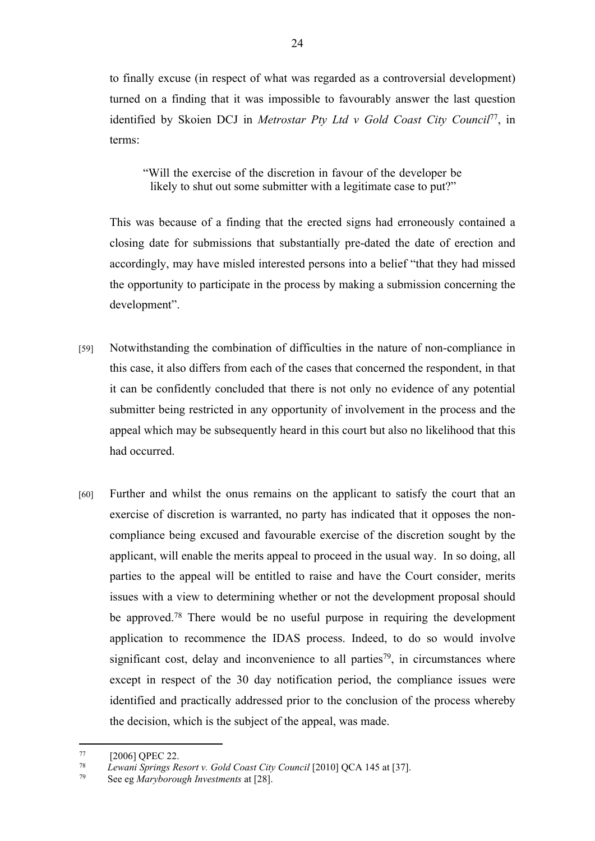to finally excuse (in respect of what was regarded as a controversial development) turned on a finding that it was impossible to favourably answer the last question identified by Skoien DCJ in *Metrostar Pty Ltd v Gold Coast City Council*<sup>77</sup>, in terms:

"Will the exercise of the discretion in favour of the developer be likely to shut out some submitter with a legitimate case to put?"

This was because of a finding that the erected signs had erroneously contained a closing date for submissions that substantially pre-dated the date of erection and accordingly, may have misled interested persons into a belief "that they had missed the opportunity to participate in the process by making a submission concerning the development".

- [59] Notwithstanding the combination of difficulties in the nature of non-compliance in this case, it also differs from each of the cases that concerned the respondent, in that it can be confidently concluded that there is not only no evidence of any potential submitter being restricted in any opportunity of involvement in the process and the appeal which may be subsequently heard in this court but also no likelihood that this had occurred.
- [60] Further and whilst the onus remains on the applicant to satisfy the court that an exercise of discretion is warranted, no party has indicated that it opposes the noncompliance being excused and favourable exercise of the discretion sought by the applicant, will enable the merits appeal to proceed in the usual way. In so doing, all parties to the appeal will be entitled to raise and have the Court consider, merits issues with a view to determining whether or not the development proposal should be approved.<sup>78</sup> There would be no useful purpose in requiring the development application to recommence the IDAS process. Indeed, to do so would involve significant cost, delay and inconvenience to all parties<sup>79</sup>, in circumstances where except in respect of the 30 day notification period, the compliance issues were identified and practically addressed prior to the conclusion of the process whereby the decision, which is the subject of the appeal, was made.

<sup>&</sup>lt;sup>77</sup> [2006] QPEC 22.<br><sup>78</sup> *Lewani Springs Re* 

<sup>78</sup> *Lewani Springs Resort v. Gold Coast City Council* [2010] QCA 145 at [37].

See eg *Maryborough Investments* at [28].